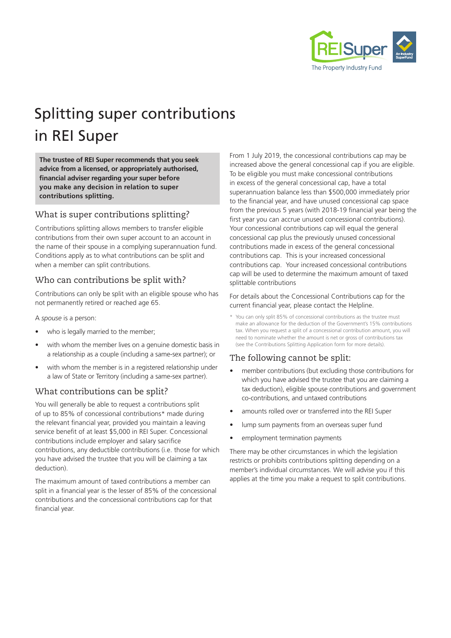

# Splitting super contributions in REI Super

**The trustee of REI Super recommends that you seek advice from a licensed, or appropriately authorised, financial adviser regarding your super before you make any decision in relation to super contributions splitting.**

# What is super contributions splitting?

Contributions splitting allows members to transfer eligible contributions from their own super account to an account in the name of their spouse in a complying superannuation fund. Conditions apply as to what contributions can be split and when a member can split contributions.

# Who can contributions be split with?

Contributions can only be split with an eligible spouse who has not permanently retired or reached age 65.

A *spouse* is a person:

- who is legally married to the member;
- with whom the member lives on a genuine domestic basis in a relationship as a couple (including a same-sex partner); or
- with whom the member is in a registered relationship under a law of State or Territory (including a same-sex partner).

#### What contributions can be split?

You will generally be able to request a contributions split of up to 85% of concessional contributions\* made during the relevant financial year, provided you maintain a leaving service benefit of at least \$5,000 in REI Super. Concessional contributions include employer and salary sacrifice contributions, any deductible contributions (i.e. those for which you have advised the trustee that you will be claiming a tax deduction).

The maximum amount of taxed contributions a member can split in a financial year is the lesser of 85% of the concessional contributions and the concessional contributions cap for that financial year.

From 1 July 2019, the concessional contributions cap may be increased above the general concessional cap if you are eligible. To be eligible you must make concessional contributions in excess of the general concessional cap, have a total superannuation balance less than \$500,000 immediately prior to the financial year, and have unused concessional cap space from the previous 5 years (with 2018-19 financial year being the first year you can accrue unused concessional contributions). Your concessional contributions cap will equal the general concessional cap plus the previously unused concessional contributions made in excess of the general concessional contributions cap. This is your increased concessional contributions cap. Your increased concessional contributions cap will be used to determine the maximum amount of taxed splittable contributions

#### For details about the Concessional Contributions cap for the current financial year, please contact the Helpline.

\* You can only split 85% of concessional contributions as the trustee must make an allowance for the deduction of the Government's 15% contributions tax. When you request a split of a concessional contribution amount, you will need to nominate whether the amount is net or gross of contributions tax (see the Contributions Splitting Application form for more details).

# The following cannot be split:

- member contributions (but excluding those contributions for which you have advised the trustee that you are claiming a tax deduction), eligible spouse contributions and government co-contributions, and untaxed contributions
- amounts rolled over or transferred into the REI Super
- lump sum payments from an overseas super fund
- employment termination payments

There may be other circumstances in which the legislation restricts or prohibits contributions splitting depending on a member's individual circumstances. We will advise you if this applies at the time you make a request to split contributions.